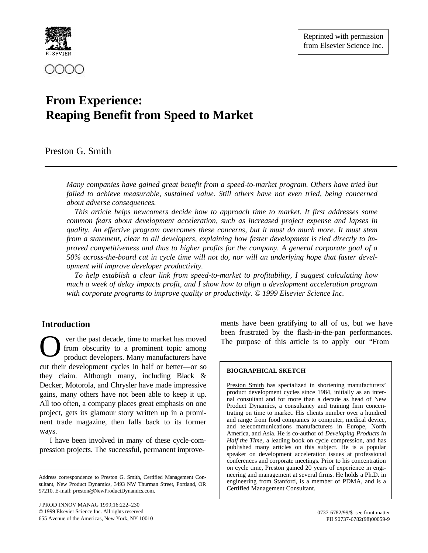

# **From Experience: Reaping Benefit from Speed to Market**

Preston G. Smith

*Many companies have gained great benefit from a speed-to-market program. Others have tried but failed to achieve measurable, sustained value. Still others have not even tried, being concerned about adverse consequences.*

*This article helps newcomers decide how to approach time to market. It first addresses some common fears about development acceleration, such as increased project expense and lapses in quality. An effective program overcomes these concerns, but it must do much more. It must stem from a statement, clear to all developers, explaining how faster development is tied directly to improved competitiveness and thus to higher profits for the company. A general corporate goal of a 50% across-the-board cut in cycle time will not do, nor will an underlying hope that faster development will improve developer productivity.*

*To help establish a clear link from speed-to-market to profitability, I suggest calculating how much a week of delay impacts profit, and I show how to align a development acceleration program with corporate programs to improve quality or productivity. © 1999 Elsevier Science Inc.*

# **Introduction**

 ver the past decade, time to market has moved from obscurity to a prominent topic among product developers. Many manufacturers have cut their development cycles in half or better—or so they claim. Although many, including Black & Decker, Motorola, and Chrysler have made impressive gains, many others have not been able to keep it up. All too often, a company places great emphasis on one project, gets its glamour story written up in a prominent trade magazine, then falls back to its former ways. O

I have been involved in many of these cycle-compression projects. The successful, permanent improvements have been gratifying to all of us, but we have been frustrated by the flash-in-the-pan performances. The purpose of this article is to apply our "From

## **BIOGRAPHICAL SKETCH**

Preston Smith has specialized in shortening manufacturers' product development cycles since 1984, initially as an internal consultant and for more than a decade as head of New Product Dynamics, a consultancy and training firm concentrating on time to market. His clients number over a hundred and range from food companies to computer, medical device, and telecommunications manufacturers in Europe, North America, and Asia. He is co-author of *Developing Products in Half the Time,* a leading book on cycle compression, and has published many articles on this subject. He is a popular speaker on development acceleration issues at professional conferences and corporate meetings. Prior to his concentration on cycle time, Preston gained 20 years of experience in engineering and management at several firms. He holds a Ph.D. in engineering from Stanford, is a member of PDMA, and is a Certified Management Consultant.

Address correspondence to Preston G. Smith, Certified Management Consultant, New Product Dynamics, 3493 NW Thurman Street, Portland, OR 97210. E-mail: preston@NewProductDynamics.com.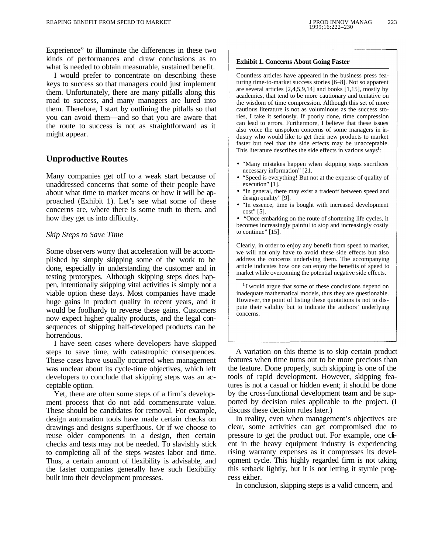Experience" to illuminate the differences in these two kinds of performances and draw conclusions as to what is needed to obtain measurable, sustained benefit.

I would prefer to concentrate on describing these keys to success so that managers could just implement them. Unfortunately, there are many pitfalls along this road to success, and many managers are lured into them. Therefore, I start by outlining the pitfalls so that you can avoid them—and so that you are aware that the route to success is not as straightforward as it might appear.

# **Unproductive Routes**

Many companies get off to a weak start because of unaddressed concerns that some of their people have about what time to market means or how it will be approached (Exhibit 1). Let's see what some of these concerns are, where there is some truth to them, and how they get us into difficulty.

## *Skip Steps to Save Time*

Some observers worry that acceleration will be accomplished by simply skipping some of the work to be done, especially in understanding the customer and in testing prototypes. Although skipping steps does happen, intentionally skipping vital activities is simply not a viable option these days. Most companies have made huge gains in product quality in recent years, and it would be foolhardy to reverse these gains. Customers now expect higher quality products, and the legal consequences of shipping half-developed products can be horrendous.

I have seen cases where developers have skipped steps to save time, with catastrophic consequences. These cases have usually occurred when management was unclear about its cycle-time objectives, which left developers to conclude that skipping steps was an acceptable option.

Yet, there are often some steps of a firm's development process that do not add commensurate value. These should be candidates for removal. For example, design automation tools have made certain checks on drawings and designs superfluous. Or if we choose to reuse older components in a design, then certain checks and tests may not be needed. To slavishly stick to completing all of the steps wastes labor and time. Thus, a certain amount of flexibility is advisable, and the faster companies generally have such flexibility built into their development processes.

#### **Exhibit 1. Concerns About Going Faster**

Countless articles have appeared in the business press featuring time-to-market success stories [6–8]. Not so apparent are several articles [2,4,5,9,14] and books [1,15], mostly by academics, that tend to be more cautionary and tentative on the wisdom of time compression. Although this set of more cautious literature is not as voluminous as the success stories, I take it seriously. If poorly done, time compression can lead to errors. Furthermore, I believe that these issues also voice the unspoken concerns of some managers in industry who would like to get their new products to market faster but feel that the side effects may be unacceptable. This literature describes the side effects in various ways<sup>1</sup>:

- "Many mistakes happen when skipping steps sacrifices necessary information" [21.
- "Speed is everything! But not at the expense of quality of execution" [1].
- "In general, there may exist a tradeoff between speed and design quality" [9].
- "In essence, time is bought with increased development cost" [5].

• "Once embarking on the route of shortening life cycles, it becomes increasingly painful to stop and increasingly costly to continue" [15].

Clearly, in order to enjoy any benefit from speed to market, we will not only have to avoid these side effects but also address the concerns underlying them. The accompanying article indicates how one can enjoy the benefits of speed to market while overcoming the potential negative side effects.

<sup>1</sup> I would argue that some of these conclusions depend on inadequate mathematical models, thus they are questionable. However, the point of listing these quotations is not to dispute their validity but to indicate the authors' underlying concerns.

A variation on this theme is to skip certain product features when time turns out to be more precious than the feature. Done properly, such skipping is one of the tools of rapid development. However, skipping features is not a casual or hidden event; it should be done by the cross-functional development team and be supported by decision rules applicable to the project. (I discuss these decision rules later.)

In reality, even when management's objectives are clear, some activities can get compromised due to pressure to get the product out. For example, one client in the heavy equipment industry is experiencing rising warranty expenses as it compresses its development cycle. This highly regarded firm is not taking this setback lightly, but it is not letting it stymie progress either.

In conclusion, skipping steps is a valid concern, and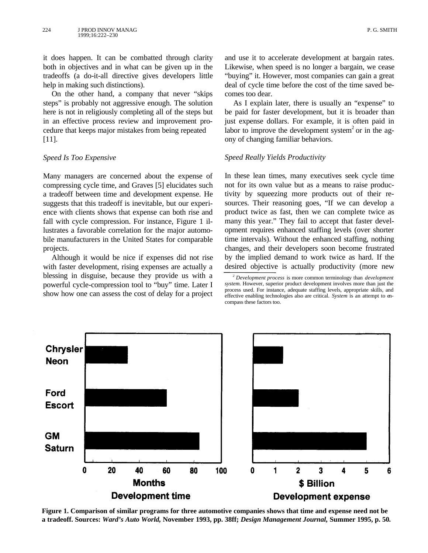it does happen. It can be combatted through clarity both in objectives and in what can be given up in the tradeoffs (a do-it-all directive gives developers little help in making such distinctions).

On the other hand, a company that never "skips steps" is probably not aggressive enough. The solution here is not in religiously completing all of the steps but in an effective process review and improvement procedure that keeps major mistakes from being repeated [11].

#### *Speed Is Too Expensive*

Many managers are concerned about the expense of compressing cycle time, and Graves [5] elucidates such a tradeoff between time and development expense. He suggests that this tradeoff is inevitable, but our experience with clients shows that expense can both rise and fall with cycle compression. For instance, Figure 1 illustrates a favorable correlation for the major automobile manufacturers in the United States for comparable projects.

Although it would be nice if expenses did not rise with faster development, rising expenses are actually a blessing in disguise, because they provide us with a powerful cycle-compression tool to "buy" time. Later I show how one can assess the cost of delay for a project

and use it to accelerate development at bargain rates. Likewise, when speed is no longer a bargain, we cease "buying" it. However, most companies can gain a great deal of cycle time before the cost of the time saved becomes too dear.

As I explain later, there is usually an "expense" to be paid for faster development, but it is broader than just expense dollars. For example, it is often paid in labor to improve the development system<sup>2</sup> or in the agony of changing familiar behaviors.

#### *Speed Really Yields Productivity*

In these lean times, many executives seek cycle time not for its own value but as a means to raise productivity by squeezing more products out of their resources. Their reasoning goes, "If we can develop a product twice as fast, then we can complete twice as many this year." They fail to accept that faster development requires enhanced staffing levels (over shorter time intervals). Without the enhanced staffing, nothing changes, and their developers soon become frustrated by the implied demand to work twice as hard. If the desired objective is actually productivity (more new

<sup>2</sup>*Development process* is more common terminology than *development system.* However, superior product development involves more than just the process used. For instance, adequate staffing levels, appropriate skills, and effective enabling technologies also are critical. *System* is an attempt to encompass these factors too.



**Figure 1. Comparison of similar programs for three automotive companies shows that time and expense need not be a tradeoff. Sources:** *Ward's Auto World,* **November 1993, pp. 38ff;** *Design Management Journal,* **Summer 1995, p. 50***.*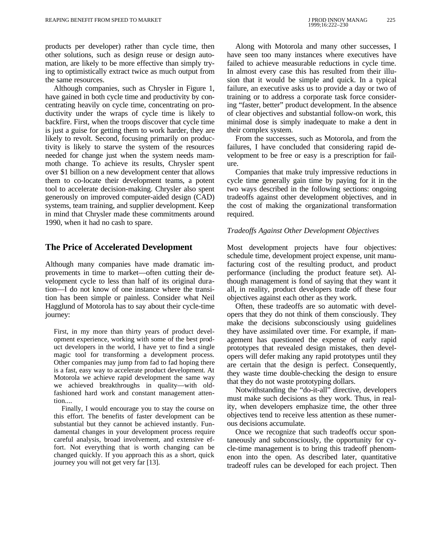products per developer) rather than cycle time, then other solutions, such as design reuse or design automation, are likely to be more effective than simply trying to optimistically extract twice as much output from the same resources.

Although companies, such as Chrysler in Figure 1, have gained in both cycle time and productivity by concentrating heavily on cycle time, concentrating on productivity under the wraps of cycle time is likely to backfire. First, when the troops discover that cycle time is just a guise for getting them to work harder, they are likely to revolt. Second, focusing primarily on productivity is likely to starve the system of the resources needed for change just when the system needs mammoth change. To achieve its results, Chrysler spent over \$1 billion on a new development center that allows them to co-locate their development teams, a potent tool to accelerate decision-making. Chrysler also spent generously on improved computer-aided design (CAD) systems, team training, and supplier development. Keep in mind that Chrysler made these commitments around 1990, when it had no cash to spare.

# **The Price of Accelerated Development**

Although many companies have made dramatic improvements in time to market—often cutting their development cycle to less than half of its original duration—I do not know of one instance where the transition has been simple or painless. Consider what Neil Hagglund of Motorola has to say about their cycle-time journey:

First, in my more than thirty years of product development experience, working with some of the best product developers in the world, I have yet to find a single magic tool for transforming a development process. Other companies may jump from fad to fad hoping there is a fast, easy way to accelerate product development. At Motorola we achieve rapid development the same way we achieved breakthroughs in quality—with oldfashioned hard work and constant management attention....

Finally, I would encourage you to stay the course on this effort. The benefits of faster development can be substantial but they cannot be achieved instantly. Fundamental changes in your development process require careful analysis, broad involvement, and extensive effort. Not everything that is worth changing can be changed quickly. If you approach this as a short, quick journey you will not get very far [13].

Along with Motorola and many other successes, I have seen too many instances where executives have failed to achieve measurable reductions in cycle time. In almost every case this has resulted from their illusion that it would be simple and quick. In a typical failure, an executive asks us to provide a day or two of training or to address a corporate task force considering "faster, better" product development. In the absence of clear objectives and substantial follow-on work, this minimal dose is simply inadequate to make a dent in their complex system.

From the successes, such as Motorola, and from the failures, I have concluded that considering rapid development to be free or easy is a prescription for failure.

Companies that make truly impressive reductions in cycle time generally gain time by paying for it in the two ways described in the following sections: ongoing tradeoffs against other development objectives, and in the cost of making the organizational transformation required.

#### *Tradeoffs Against Other Development Objectives*

Most development projects have four objectives: schedule time, development project expense, unit manufacturing cost of the resulting product, and product performance (including the product feature set). Although management is fond of saying that they want it all, in reality, product developers trade off these four objectives against each other as they work.

Often, these tradeoffs are so automatic with developers that they do not think of them consciously. They make the decisions subconsciously using guidelines they have assimilated over time. For example, if management has questioned the expense of early rapid prototypes that revealed design mistakes, then developers will defer making any rapid prototypes until they are certain that the design is perfect. Consequently, they waste time double-checking the design to ensure that they do not waste prototyping dollars.

Notwithstanding the "do-it-all" directive, developers must make such decisions as they work. Thus, in reality, when developers emphasize time, the other three objectives tend to receive less attention as these numerous decisions accumulate.

Once we recognize that such tradeoffs occur spontaneously and subconsciously, the opportunity for cycle-time management is to bring this tradeoff phenomenon into the open. As described later, quantitative tradeoff rules can be developed for each project. Then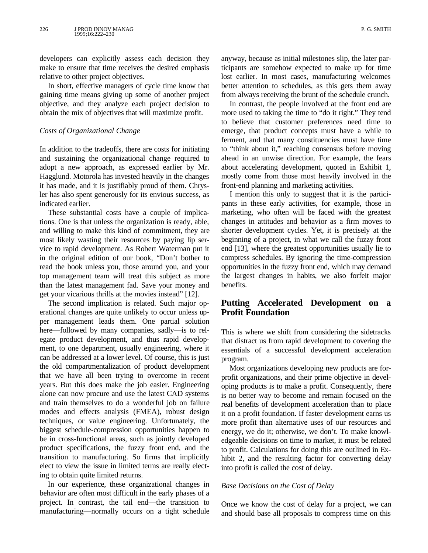developers can explicitly assess each decision they make to ensure that time receives the desired emphasis relative to other project objectives.

In short, effective managers of cycle time know that gaining time means giving up some of another project objective, and they analyze each project decision to obtain the mix of objectives that will maximize profit.

### *Costs of Organizational Change*

In addition to the tradeoffs, there are costs for initiating and sustaining the organizational change required to adopt a new approach, as expressed earlier by Mr. Hagglund. Motorola has invested heavily in the changes it has made, and it is justifiably proud of them. Chrysler has also spent generously for its envious success, as indicated earlier.

These substantial costs have a couple of implications. One is that unless the organization is ready, able, and willing to make this kind of commitment, they are most likely wasting their resources by paying lip service to rapid development. As Robert Waterman put it in the original edition of our book, "Don't bother to read the book unless you, those around you, and your top management team will treat this subject as more than the latest management fad. Save your money and get your vicarious thrills at the movies instead" [12].

The second implication is related. Such major operational changes are quite unlikely to occur unless upper management leads them. One partial solution here—followed by many companies, sadly—is to relegate product development, and thus rapid development, to one department, usually engineering, where it can be addressed at a lower level. Of course, this is just the old compartmentalization of product development that we have all been trying to overcome in recent years. But this does make the job easier. Engineering alone can now procure and use the latest CAD systems and train themselves to do a wonderful job on failure modes and effects analysis (FMEA), robust design techniques, or value engineering. Unfortunately, the biggest schedule-compression opportunities happen to be in cross-functional areas, such as jointly developed product specifications, the fuzzy front end, and the transition to manufacturing. So firms that implicitly elect to view the issue in limited terms are really electing to obtain quite limited returns.

In our experience, these organizational changes in behavior are often most difficult in the early phases of a project. In contrast, the tail end—the transition to manufacturing—normally occurs on a tight schedule anyway, because as initial milestones slip, the later participants are somehow expected to make up for time lost earlier. In most cases, manufacturing welcomes better attention to schedules, as this gets them away from always receiving the brunt of the schedule crunch.

In contrast, the people involved at the front end are more used to taking the time to "do it right." They tend to believe that customer preferences need time to emerge, that product concepts must have a while to ferment, and that many constituencies must have time to "think about it," reaching consensus before moving ahead in an unwise direction. For example, the fears about accelerating development, quoted in Exhibit 1, mostly come from those most heavily involved in the front-end planning and marketing activities.

I mention this only to suggest that it is the participants in these early activities, for example, those in marketing, who often will be faced with the greatest changes in attitudes and behavior as a firm moves to shorter development cycles. Yet, it is precisely at the beginning of a project, in what we call the fuzzy front end [13], where the greatest opportunities usually lie to compress schedules. By ignoring the time-compression opportunities in the fuzzy front end, which may demand the largest changes in habits, we also forfeit major benefits.

# **Putting Accelerated Development on a Profit Foundation**

This is where we shift from considering the sidetracks that distract us from rapid development to covering the essentials of a successful development acceleration program.

Most organizations developing new products are forprofit organizations, and their prime objective in developing products is to make a profit. Consequently, there is no better way to become and remain focused on the real benefits of development acceleration than to place it on a profit foundation. If faster development earns us more profit than alternative uses of our resources and energy, we do it; otherwise, we don't. To make knowledgeable decisions on time to market, it must be related to profit. Calculations for doing this are outlined in Exhibit 2, and the resulting factor for converting delay into profit is called the cost of delay.

#### *Base Decisions on the Cost of Delay*

Once we know the cost of delay for a project, we can and should base all proposals to compress time on this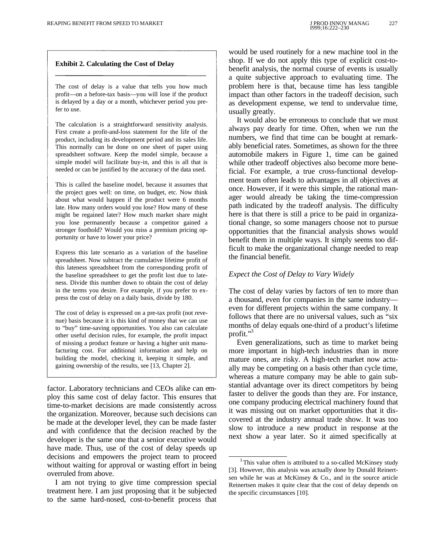#### **Exhibit 2. Calculating the Cost of Delay**

The cost of delay is a value that tells you how much profit—on a before-tax basis—you will lose if the product is delayed by a day or a month, whichever period you prefer to use.

The calculation is a straightforward sensitivity analysis. First create a profit-and-loss statement for the life of the product, including its development period and its sales life. This normally can be done on one sheet of paper using spreadsheet software. Keep the model simple, because a simple model will facilitate buy-in, and this is all that is needed or can be justified by the accuracy of the data used.

This is called the baseline model, because it assumes that the project goes well: on time, on budget, etc. Now think about what would happen if the product were 6 months late. How many orders would you lose? How many of these might be regained later? How much market share might you lose permanently because a competitor gained a stronger foothold? Would you miss a premium pricing opportunity or have to lower your price?

Express this late scenario as a variation of the baseline spreadsheet. Now subtract the cumulative lifetime profit of this lateness spreadsheet from the corresponding profit of the baseline spreadsheet to get the profit lost due to lateness. Divide this number down to obtain the cost of delay in the terms you desire. For example, if you prefer to express the cost of delay on a daily basis, divide by 180.

The cost of delay is expressed on a pre-tax profit (not revenue) basis because it is this kind of money that we can use to "buy" time-saving opportunities. You also can calculate other useful decision rules, for example, the profit impact of missing a product feature or having a higher unit manufacturing cost. For additional information and help on building the model, checking it, keeping it simple, and gaining ownership of the results, see [13, Chapter 2].

factor. Laboratory technicians and CEOs alike can employ this same cost of delay factor. This ensures that time-to-market decisions are made consistently across the organization. Moreover, because such decisions can be made at the developer level, they can be made faster and with confidence that the decision reached by the developer is the same one that a senior executive would have made. Thus, use of the cost of delay speeds up decisions and empowers the project team to proceed without waiting for approval or wasting effort in being overruled from above.

I am not trying to give time compression special treatment here. I am just proposing that it be subjected to the same hard-nosed, cost-to-benefit process that

would be used routinely for a new machine tool in the shop. If we do not apply this type of explicit cost-tobenefit analysis, the normal course of events is usually a quite subjective approach to evaluating time. The problem here is that, because time has less tangible impact than other factors in the tradeoff decision, such as development expense, we tend to undervalue time, usually greatly.

It would also be erroneous to conclude that we must always pay dearly for time. Often, when we run the numbers, we find that time can be bought at remarkably beneficial rates. Sometimes, as shown for the three automobile makers in Figure 1, time can be gained while other tradeoff objectives also become more beneficial. For example, a true cross-functional development team often leads to advantages in all objectives at once. However, if it were this simple, the rational manager would already be taking the time-compression path indicated by the tradeoff analysis. The difficulty here is that there is still a price to be paid in organizational change, so some managers choose not to pursue opportunities that the financial analysis shows would benefit them in multiple ways. It simply seems too difficult to make the organizational change needed to reap the financial benefit.

## *Expect the Cost of Delay to Vary Widely*

The cost of delay varies by factors of ten to more than a thousand, even for companies in the same industry even for different projects within the same company. It follows that there are no universal values, such as "six months of delay equals one-third of a product's lifetime profit."<sup>3</sup>

Even generalizations, such as time to market being more important in high-tech industries than in more mature ones, are risky. A high-tech market now actually may be competing on a basis other than cycle time, whereas a mature company may be able to gain substantial advantage over its direct competitors by being faster to deliver the goods than they are. For instance, one company producing electrical machinery found that it was missing out on market opportunities that it discovered at the industry annual trade show. It was too slow to introduce a new product in response at the next show a year later. So it aimed specifically at

<sup>&</sup>lt;sup>3</sup>This value often is attributed to a so-called McKinsey study [3]. However, this analysis was actually done by Donald Reinertsen while he was at McKinsey & Co., and in the source article Reinertsen makes it quite clear that the cost of delay depends on the specific circumstances [10].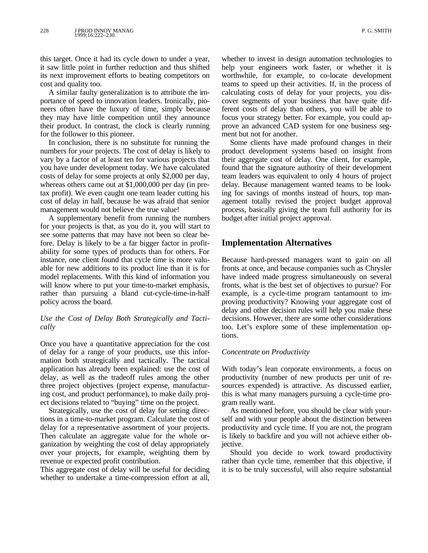this target. Once it had its cycle down to under a year, it saw little point in further reduction and thus shifted its next improvement efforts to beating competitors on cost and quality too.

A similar faulty generalization is to attribute the importance of speed to innovation leaders. Ironically, pioneers often have the luxury of time, simply because they may have little competition until they announce their product. In contrast, the clock is clearly running for the follower to this pioneer.

In conclusion, there is no substitute for running the numbers for *your* projects. The cost of delay is likely to vary by a factor of at least ten for various projects that you have under development today. We have calculated costs of delay for some projects at only \$2,000 per day, whereas others came out at \$1,000,000 per day (in pretax profit). We even caught one team leader cutting his cost of delay in half, because he was afraid that senior management would not believe the true value!

A supplementary benefit from running the numbers for your projects is that, as you do it, you will start to see some patterns that may have not been so clear before. Delay is likely to be a far bigger factor in profitability for some types of products than for others. For instance, one client found that cycle time is more valuable for new additions to its product line than it is for model replacements. With this kind of information you will know where to put your time-to-market emphasis, rather than pursuing a bland cut-cycle-time-in-half policy across the board.

# *Use the Cost of Delay Both Strategically and Tactically*

Once you have a quantitative appreciation for the cost of delay for a range of your products, use this information both strategically and tactically. The tactical application has already been explained: use the cost of delay, as well as the tradeoff rules among the other three project objectives (project expense, manufacturing cost, and product performance), to make daily project decisions related to "buying" time on the project.

Strategically, use the cost of delay for setting directions in a time-to-market program. Calculate the cost of delay for a representative assortment of your projects. Then calculate an aggregate value for the whole organization by weighting the cost of delay appropriately over your projects, for example, weighting them by revenue or expected profit contribution.

This aggregate cost of delay will be useful for deciding whether to undertake a time-compression effort at all,

whether to invest in design automation technologies to help your engineers work faster, or whether it is worthwhile, for example, to co-locate development teams to speed up their activities. If, in the process of calculating costs of delay for your projects, you discover segments of your business that have quite different costs of delay than others, you will be able to focus your strategy better. For example, you could approve an advanced CAD system for one business segment but not for another.

Some clients have made profound changes in their product development systems based on insight from their aggregate cost of delay. One client, for example, found that the signature authority of their development team leaders was equivalent to only 4 hours of project delay. Because management wanted teams to be looking for savings of months instead of hours, top management totally revised the project budget approval process, basically giving the team full authority for its budget after initial project approval.

# **Implementation Alternatives**

Because hard-pressed managers want to gain on all fronts at once, and because companies such as Chrysler have indeed made progress simultaneously on several fronts, what is the best set of objectives to pursue? For example, is a cycle-time program tantamount to improving productivity? Knowing your aggregate cost of delay and other decision rules will help you make these decisions. However, there are some other considerations too. Let's explore some of these implementation options.

## *Concentrate on Productivity*

With today's lean corporate environments, a focus on productivity (number of new products per unit of resources expended) is attractive. As discussed earlier, this is what many managers pursuing a cycle-time program really want.

As mentioned before, you should be clear with yourself and with your people about the distinction between productivity and cycle time. If you are not, the program is likely to backfire and you will not achieve either objective.

Should you decide to work toward productivity rather than cycle time, remember that this objective, if it is to be truly successful, will also require substantial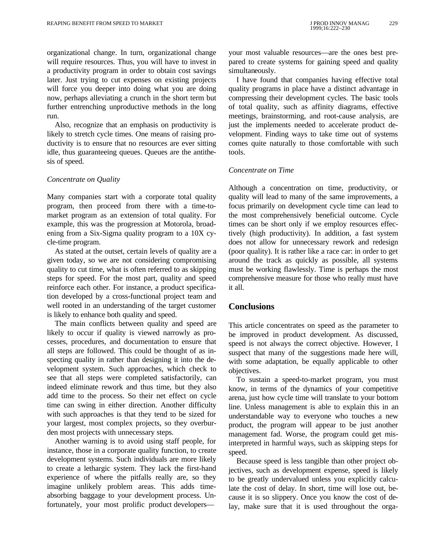organizational change. In turn, organizational change will require resources. Thus, you will have to invest in a productivity program in order to obtain cost savings later. Just trying to cut expenses on existing projects will force you deeper into doing what you are doing now, perhaps alleviating a crunch in the short term but further entrenching unproductive methods in the long run.

Also, recognize that an emphasis on productivity is likely to stretch cycle times. One means of raising productivity is to ensure that no resources are ever sitting idle, thus guaranteeing queues. Queues are the antithesis of speed.

#### *Concentrate on Quality*

Many companies start with a corporate total quality program, then proceed from there with a time-tomarket program as an extension of total quality. For example, this was the progression at Motorola, broadening from a Six-Sigma quality program to a 10X cycle-time program.

As stated at the outset, certain levels of quality are a given today, so we are not considering compromising quality to cut time, what is often referred to as skipping steps for speed. For the most part, quality and speed reinforce each other. For instance, a product specification developed by a cross-functional project team and well rooted in an understanding of the target customer is likely to enhance both quality and speed.

The main conflicts between quality and speed are likely to occur if quality is viewed narrowly as processes, procedures, and documentation to ensure that all steps are followed. This could be thought of as inspecting quality in rather than designing it into the development system. Such approaches, which check to see that all steps were completed satisfactorily, can indeed eliminate rework and thus time, but they also add time to the process. So their net effect on cycle time can swing in either direction. Another difficulty with such approaches is that they tend to be sized for your largest, most complex projects, so they overburden most projects with unnecessary steps.

Another warning is to avoid using staff people, for instance, those in a corporate quality function, to create development systems. Such individuals are more likely to create a lethargic system. They lack the first-hand experience of where the pitfalls really are, so they imagine unlikely problem areas. This adds timeabsorbing baggage to your development process. Unfortunately, your most prolific product developersyour most valuable resources—are the ones best prepared to create systems for gaining speed and quality simultaneously.

I have found that companies having effective total quality programs in place have a distinct advantage in compressing their development cycles. The basic tools of total quality, such as affinity diagrams, effective meetings, brainstorming, and root-cause analysis, are just the implements needed to accelerate product development. Finding ways to take time out of systems comes quite naturally to those comfortable with such tools.

#### *Concentrate on Time*

Although a concentration on time, productivity, or quality will lead to many of the same improvements, a focus primarily on development cycle time can lead to the most comprehensively beneficial outcome. Cycle times can be short only if we employ resources effectively (high productivity). In addition, a fast system does not allow for unnecessary rework and redesign (poor quality). It is rather like a race car: in order to get around the track as quickly as possible, all systems must be working flawlessly. Time is perhaps the most comprehensive measure for those who really must have it all.

# **Conclusions**

This article concentrates on speed as the parameter to be improved in product development. As discussed, speed is not always the correct objective. However, I suspect that many of the suggestions made here will, with some adaptation, be equally applicable to other objectives.

To sustain a speed-to-market program, you must know, in terms of the dynamics of your competitive arena, just how cycle time will translate to your bottom line. Unless management is able to explain this in an understandable way to everyone who touches a new product, the program will appear to be just another management fad. Worse, the program could get misinterpreted in harmful ways, such as skipping steps for speed.

Because speed is less tangible than other project objectives, such as development expense, speed is likely to be greatly undervalued unless you explicitly calculate the cost of delay. In short, time will lose out, because it is so slippery. Once you know the cost of delay, make sure that it is used throughout the orga